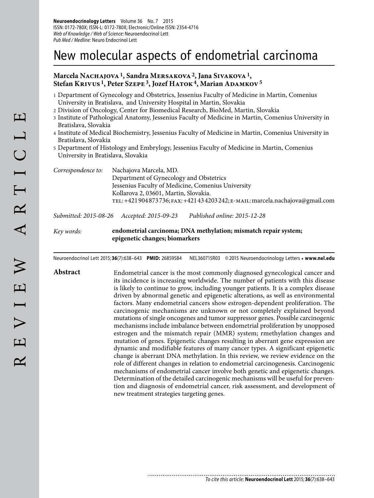# New molecular aspects of endometrial carcinoma

## Marcela Nachajova <sup>1</sup>, Sandra Mersakova <sup>2</sup>, Jana Sivakova <sup>1</sup>, Stefan KRIVUS<sup>1</sup>, Peter Szepe<sup>3</sup>, Jozef HATOK<sup>4</sup>, Marian ADAMKOV<sup>5</sup>

- 1 Department of Gynecology and Obstetrics, Jessenius Faculty of Medicine in Martin, Comenius University in Bratislava, and University Hospital in Martin, Slovakia
- 2 Division of Oncology, Center for Biomedical Research, BioMed, Martin, Slovakia
- 3 Institute of Pathological Anatomy, Jessenius Faculty of Medicine in Martin, Comenius University in Bratislava, Slovakia
- 4 Institute of Medical Biochemistry, Jessenius Faculty of Medicine in Martin, Comenius University in Bratislava, Slovakia
- 5 Department of Histology and Embrylogy, Jessenius Faculty of Medicine in Martin, Comenius University in Bratislava, Slovakia

| Correspondence to: | Nachajova Marcela, MD.                                                            |
|--------------------|-----------------------------------------------------------------------------------|
|                    | Department of Gynecology and Obstetrics                                           |
|                    | Jessenius Faculty of Medicine, Comenius University                                |
|                    | Kollarova 2, 03601, Martin, Slovakia.                                             |
|                    | TEL: +421 904 873 736; FAX: +421 43 4203 242; E-MAIL: marcela.nachajova@gmail.com |
|                    |                                                                                   |

*Submitted: 2015-08-26 Accepted: 2015-09-23 Published online: 2015-12-28*

## *Key words:* **endometrial carcinoma; DNA methylation; mismatch repair system; epigenetic changes; biomarkers**

............................

Neuroendocrinol Lett 2015; **36**(7):638–643 **PMID:** 26859584 NEL360715R03 © 2015 Neuroendocrinology Letters • **www.nel.edu**

Abstract Endometrial cancer is the most commonly diagnosed gynecological cancer and its incidence is increasing worldwide. The number of patients with this disease is likely to continue to grow, including younger patients. It is a complex disease driven by abnormal genetic and epigenetic alterations, as well as environmental factors. Many endometrial cancers show estrogen-dependent proliferation. The carcinogenic mechanisms are unknown or not completely explained beyond mutations of single oncogenes and tumor suppressor genes. Possible carcinogenic mechanisms include imbalance between endometrial proliferation by unopposed estrogen and the mismatch repair (MMR) system; rmethylation changes and mutation of genes. Epigenetic changes resulting in aberrant gene expression are dynamic and modifiable features of many cancer types. A significant epigenetic change is aberrant DNA methylation. In this review, we review evidence on the role of different changes in relation to endometrial carcinogenesis. Carcinogenic mechanisms of endometrial cancer involve both genetic and epigenetic changes. Determination of the detailed carcinogenic mechanisms will be useful for prevention and diagnosis of endometrial cancer, risk assessment, and development of new treatment strategies targeting genes.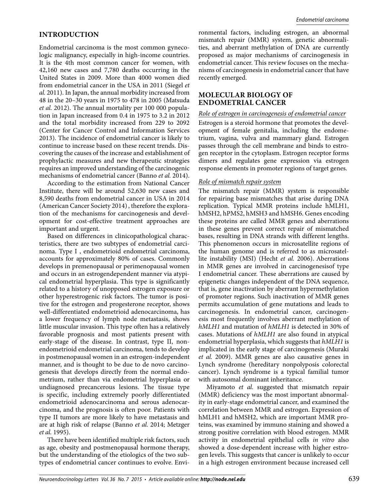# **INTRODUCTION**

Endometrial carcinoma is the most common gynecologic malignancy, especially in high-income countries. It is the 4th most common cancer for women, with 42,160 new cases and 7,780 deaths occurring in the United States in 2009. More than 4000 women died from endometrial cancer in the USA in 2011 (Siegel *et al.* 2011). In Japan, the annual morbidity increased from 48 in the 20–30 years in 1975 to 478 in 2005 (Matsuda *et al.* 2012). The annual mortality per 100 000 population in Japan increased from 0.4 in 1975 to 3.2 in 2012 and the total morbidity increased from 229 to 2092 (Center for Cancer Control and Information Services 2013). The incidence of endometrial cancer is likely to continue to increase based on these recent trends. Discovering the causes of the increase and establishment of prophylactic measures and new therapeutic strategies requires an improved understanding of the carcinogenic mechanisms of endometrial cancer (Banno *et al.* 2014).

According to the estimation from National Cancer Institute, there will be around 52,630 new cases and 8,590 deaths from endometrial cancer in USA in 2014 (American Cancer Society 2014), therefore the exploration of the mechanisms for carcinogenesis and development for cost-effective treatment approaches are important and urgent.

Based on differences in clinicopathological characteristics, there are two subtypes of endometrial carcinoma. Type I, endometrioid endometrial carcinoma, accounts for approximately 80% of cases. Commonly develops in premenopausal or perimenopausal women and occurs in an estrogendependent manner via atypical endometrial hyperplasia. This type is significantly related to a history of unopposed estrogen exposure or other hyperestrogenic risk factors. The tumor is positive for the estrogen and progesterone receptor, shows well-differentiated endometrioid adenocarcinoma, has a lower frequency of lymph node metastasis, shows little muscular invasion. This type often has a relatively favorable prognosis and most patients present with early-stage of the disease. In contrast, type II, nonendometrioid endometrial carcinoma, tends to develop in postmenopausal women in an estrogen-independent manner, and is thought to be due to de novo carcinogenesis that develops directly from the normal endometrium, rather than via endometrial hyperplasia or undiagnosed precancerous lesions. The tissue type is specific, including extremely poorly differentiated endometrioid adenocarcinoma and serous adenocarcinoma, and the prognosis is often poor. Patients with type II tumors are more likely to have metastasis and are at high risk of relapse (Banno *et al.* 2014; Metzger *et al.* 1995).

There have been identified multiple risk factors, such as age, obesity and postmenopausal hormone therapy, but the understanding of the etiologics of the two subtypes of endometrial cancer continues to evolve. Environmental factors, including estrogen, an abnormal mismatch repair (MMR) system, genetic abnormalities, and aberrant methylation of DNA are currently proposed as major mechanisms of carcinogenesis in endometrial cancer. This review focuses on the mechanisms of carcinogenesis in endometrial cancer that have recently emerged.

## **MOLECULAR BIOLOGY OF ENDOMETRIAL CANCER**

#### *Role of estrogen in carcinogenesis of endometrial cancer*

Estrogen is a steroid hormone that promotes the development of female genitalia, including the endometrium, vagina, vulva and mammary gland. Estrogen passes through the cell membrane and binds to estrogen receptor in the cytoplasm. Estrogen receptor forms dimers and regulates gene expression via estrogen response elements in promoter regions of target genes.

### *Role of mismatch repair system*

The mismatch repair (MMR) system is responsible for repairing base mismatches that arise during DNA replication. Typical MMR proteins include hMLH1, hMSH2, hPMS2, hMSH3 and hMSH6. Genes encoding these proteins are called MMR genes and aberrations in these genes prevent correct repair of mismatched bases, resulting in DNA strands with different lengths. This phenomenon occurs in microsatellite regions of the human genome and is referred to as microsatellite instability (MSI) (Hecht *et al.* 2006). Aberrations in MMR genes are involved in carcinogenesisof type I endometrial cancer. These aberrations are caused by epigenetic changes independent of the DNA sequence, that is, gene inactivation by aberrant hypermethylation of promoter regions. Such inactivation of MMR genes permits accumulation of gene mutations and leads to carcinogenesis. In endometrial cancer, carcinogenesis most frequently involves aberrant methylation of *hMLH1* and mutation of *hMLH1* is detected in 30% of cases. Mutations of *hMLH1* are also found in atypical endometrial hyperplasia, which suggests that *hMLH1* is implicated in the early stage of carcinogenesis (Muraki *et al.* 2009). MMR genes are also causative genes in Lynch syndrome (hereditary nonpolyposis colorectal cancer). Lynch syndrome is a typical familial tumor with autosomal dominant inheritance.

Miyamoto *et al.* suggested that mismatch repair (MMR) deficiency was the most important abnormality in early-stage endometrial cancer, and examined the correlation between MMR and estrogen. Expression of hMLH1 and hMSH2, which are important MMR proteins, was examined by immuno staining and showed a strong positive correlation with blood estrogen. MMR activity in endometrial epithelial cells *in vitro* also showed a dose-dependent increase with higher estrogen levels. This suggests that cancer is unlikely to occur in a high estrogen environment because increased cell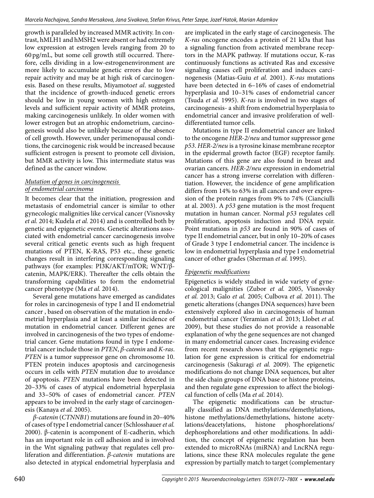growth is paralleled by increased MMR activity. In contrast, hMLH1 and hMSH2 were absent or had extremely low expression at estrogen levels ranging from 20 to 60 pg/mL, but some cell growth still occurred. Therefore, cells dividing in a low-estrogenenvironment are more likely to accumulate genetic errors due to low repair activity and may be at high risk of carcinogenesis. Based on these results, Miyamoto*et al*. suggested that the incidence of growth-induced genetic errors should be low in young women with high estrogen levels and sufficient repair activity of MMR proteins, making carcinogenesis unlikely. In older women with lower estrogen but an atrophic endometrium, carcinogenesis would also be unlikely because of the absence of cell growth. However, under perimenopausal conditions, the carcinogenic risk would be increased because sufficient estrogen is present to promote cell division, but MMR activity is low. This intermediate status was defined as the cancer window.

## *Mutation of genes in carcinogenesis of endometrial carcinoma*

It becomes clear that the initiation, progression and metastasis of endometrial cancer is similar to other gynecologic malignities like cervical cancer (Visnovsky *et al.* 2014; Kudela *et al.* 2014) and is controlled both by genetic and epigenetic events. Genetic alterations associated with endometrial cancer carcinogenesis involve several critical genetic events such as high frequent mutations of PTEN, K-RAS, P53 etc., these genetic changes result in interfering corresponding signaling pathways (for examples: PI3K/AKT/mTOR; WNT/βcatenin, MAPK/ERK). Thereafter the cells obtain the transforming capabilities to form the endometrial cancer phenotype (Ma *et al.* 2014).

Several gene mutations have emerged as candidates for roles in carcinogenesis of type I and II endometrial cancer , based on observation of the mutation in endometrial hyperplasia and at least a similar incidence of mutation in endometrial cancer. Different genes are involved in carcinogenesis of the two types of endometrial cancer. Gene mutations found in type I endometrial cancer include those in *PTEN*, *β-catenin* and *K-ras*. *PTEN* is a tumor suppressor gene on chromosome 10. PTEN protein induces apoptosis and carcinogenesis occurs in cells with *PTEN* mutation due to avoidance of apoptosis. *PTEN* mutations have been detected in 20–33% of cases of atypical endometrial hyperplasia and 33–50% of cases of endometrial cancer. *PTEN*  appears to be involved in the early stage of carcinogenesis (Kanaya *et al.* 2005).

*β-catenin* (*CTNNB1*) mutations are found in 20–40% of cases of type I endometrial cancer (Schlosshauer *et al.*  2000). β-catenin is acomponent of E-cadherin, which has an important role in cell adhesion and is involved in the Wnt signaling pathway that regulates cell proliferation and differentiation. *β-catenin* mutations are also detected in atypical endometrial hyperplasia and

are implicated in the early stage of carcinogenesis. The *K-ras* oncogene encodes a protein of 21 kDa that has a signaling function from activated membrane receptors in the MAPK pathway. If mutations occur, K-ras continuously functions as activated Ras and excessive signaling causes cell proliferation and induces carcinogenesis (Matias-Guiu *et al.* 2001). *K-ras* mutations have been detected in 6–16% of cases of endometrial hyperplasia and 10–31% cases of endometrial cancer (Tsuda *et al.* 1995). *K-ras* is involved in two stages of carcinogenesis- a shift from endometrial hyperplasia to endometrial cancer and invasive proliferation of welldifferentiated tumor cells.

Mutations in type II endometrial cancer are linked to the oncogene *HER-2/neu* and tumor suppressor gene *p53*. *HER-2/neu* is a tyrosine kinase membrane receptor in the epidermal growth factor (EGF) receptor family. Mutations of this gene are also found in breast and ovarian cancers. *HER-2/neu* expression in endometrial cancer has a strong inverse correlation with differentiation. However, the incidence of gene amplification differs from 14% to 63% in all cancers and over expression of the protein ranges from 9% to 74% (Cianciulli at al. 2003). A *p53* gene mutation is the most frequent mutation in human cancer. Normal *p53* regulates cell proliferation, apoptosis induction and DNA repair. Point mutations in *p53* are found in 90% of cases of type II endometrial cancer, but in only 10–20% of cases of Grade 3 type I endometrial cancer. The incidence is low in endometrial hyperplasia and type I endometrial cancer of other grades (Sherman *et al.* 1995).

## *Epigenetic modifications*

Epigenetics is widely studied in wide variety of gynecological malignities (Zubor *et al.* 2005, Visnovsky *et al.* 2013; Galo *et al.* 2005; Culbova *et al.* 2011). The genetic alterations (changes DNA sequences) have been extensively explored also in carcinogenesis of human endometrial cancer (Yeramian *et al.* 2013; Llobet *et al.*  2009), but these studies do not provide a reasonable explanation of why the gene sequences are not changed in many endometrial cancer cases. Increasing evidence from recent research shows that the epigenetic regulation for gene expression is critical for endometrial carcinogenesis (Sakuragi *et al.* 2009). The epigenetic modifications do not change DNA sequences, but alter the side chain groups of DNA base or histone proteins, and then regulate gene expression to affect the biological function of cells (Ma *et al.* 2014).

The epigenetic modifications can be structurally classified as DNA methylations/demethylations, histone methylations/demethylations, histone acetylations/deacetylations, histone phosphorelations/ dephosphorelations and other modifications. In addition, the concept of epigenetic regulation has been extended to microRNAs (miRNA) and LncRNA regulations, since these RNA molecules regulate the gene expression by partially match to target (complementary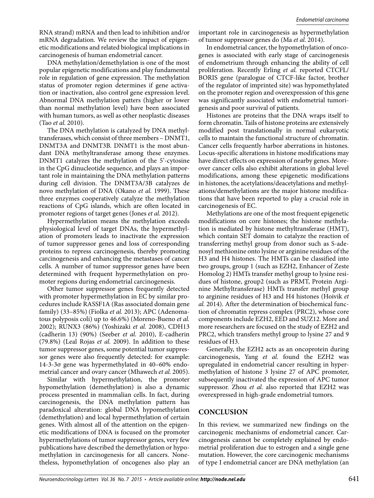RNA strand) mRNA and then lead to inhibition and/or mRNA degradation. We review the impact of epigenetic modifications and related biological implications in carcinogenesis of human endometrial cancer.

DNA methylation/demethylation is one of the most popular epigenetic modifications and play fundamental role in regulation of gene expression. The methylation status of promoter region determines if gene activation or inactivation, also control gene expression level. Abnormal DNA methylation patters (higher or lower than normal methylation level) have been associated with human tumors, as well as other neoplastic diseases (Tao *et al.* 2010).

The DNA methylation is catalyzed by DNA methyltransferases, which consist of three members – DNMT1, DNMT3A and DNMT3B. DNMT1 is the most abundant DNA methyltransferase among these enzymes. DNMT1 catalyzes the methylation of the 5'-cytosine in the CpG dinucleotide sequence, and plays an important role in maintaining the DNA methylation patterns during cell division. The DNMT3A/3B catalyzes de novo methylation of DNA (Okano *et al.* 1999). These three enzymes cooperatively catalyze the methylation reactions of CpG islands, which are often located in promoter regions of target genes (Jones *et al.* 2012).

Hypermethylation means the methylation exceeds physiological level of target DNAs, the hypermethylation of promoters leads to inactivate the expression of tumor suppressor genes and loss of corresponding proteins to repress carcinogenesis, thereby promoting carcinogenesis and enhancing the metastases of cancer cells. A number of tumor suppressor genes have been determined with frequent hypermethylation on promoter regions during endometrial carcinogenesis.

Other tumor suppressor genes frequently detected with promoter hypermethylation in EC by similar procedures include RASSF1A (Ras associated domain gene family) (33–85%) (Fiolka *et al.* 2013); APC (Adenomatous polyposis coli) up to 46.6%) (Moreno-Bueno *et al.*  2002); RUNX3 (86%) (Yoshizaki *et al.* 2008), CDH13 (cadherin 13) (90%) (Seeber *et al.* 2010), E-cadherin (79.8%) (Leal Rojas *et al.* 2009). In addition to these tumor suppressor genes, some potential tumor suppressor genes were also frequently detected: for example: 14-3-3σ gene was hypermethylated in 40–60% endometrial cancer and ovary cancer (Mhawech *et al.* 2005).

Similar with hypermethylation, the promoter hypomethylation (demethylation) is also a dynamic process presented in mammalian cells. In fact, during carcinogenesis, the DNA methylation pattern has paradoxical alteration: global DNA hypomethylation (demethylation) and local hypermethylation of certain genes. With almost all of the attention on the epigenetic modifications of DNA is focused on the promoter hypermethylations of tumor suppressor genes, very few publications have described the demethylation or hypomethylation in carcinogenesis for all cancers. Nonetheless, hypomethylation of oncogenes also play an

important role in carcinogenesis as hypermethylation of tumor suppressor genes do (Ma *et al.* 2014).

In endometrial cancer, the hypomethylation of oncogenes is associated with early stage of carcinogenesis of endometrium through enhancing the ability of cell proliferation. Recently Erling *et al.* reported CTCFL/ BORIS gene (paralogue of CTCF-like factor, brother of the regulator of imprinted site) was hypomethylated on the promoter region and overexpression of this gene was significantly associated with endometrial tumorigenesis and poor survival of patients.

Histones are proteins that the DNA wraps itself to form chromatin. Tails of histone proteins are extensively modified post translationally in normal eukaryotic cells to maintain the functional structure of chromatin. Cancer cells frequently harbor aberrations in histones. Locus-specific alterations in histone modifications may have direct effects on expression of nearby genes. Moreover cancer cells also exhibit alterations in global level modifications, among these epigenetic modifications in histones, the acetylations/deacetylations and methylations/demethylations are the major histone modifications that have been reported to play a crucial role in carcinogenesis of EC.

Methylations are one of the most frequent epigenetic modifications on core histones; the histone methylation is mediated by histone methyltransferase (HMT), which contain SET domain to catalyze the reaction of transferring methyl group from donor such as S-adenosyl methionine onto lysine or arginine residues of the H3 and H4 histones. The HMTs can be classified into two groups, group 1 (such as EZH2, Enhancer of Zeste Homolog 2) HMTs transfer methyl group to lysine residues of histone, group2 (such as PRMT, Protein Arginine Methyltransferase) HMTs transfer methyl group to arginine residues of H3 and H4 histones (Hoivik *et al.* 2014). After the determination of biochemical function of chromatin repress complex (PRC2), whose core components include EZH2, EED and SUZ12. More and more researchers are focused on the study of EZH2 and PRC2, which transfers methyl group to lysine 27 and 9 residues of H3.

Generally, the EZH2 acts as an oncoprotein during carcinogenesis, Yang *et al.* found the EZH2 was upregulated in endometrial cancer resulting in hypermethylation of histone 3 lysine 27 of APC promoter, subsequently inactivated the expression of APC tumor suppressor. Zhou *et al.* also reported that EZH2 was overexpressed in high-grade endometrial tumors.

## **CONCLUSION**

In this review, we summarized new findings on the carcinogenic mechanisms of endometrial cancer. Carcinogenesis cannot be completely explained by endometrial proliferation due to estrogen and a single gene mutation. However, the core carcinogenic mechanisms of type I endometrial cancer are DNA methylation (an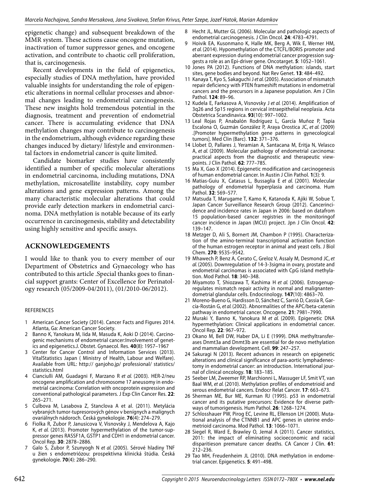epigenetic change) and subsequent breakdown of the MMR system. These actions cause oncogene mutation, inactivation of tumor suppressor genes, and oncogene activation, and contribute to chaotic cell proliferation, that is, carcinogenesis.

Recent developments in the field of epigenetics, especially studies of DNA methylation, have provided valuable insights for understanding the role of epigenetic alterations in normal cellular processes and abnormal changes leading to endometrial carcinogenesis. These new insights hold tremendous potential in the diagnosis, treatment and prevention of endometrial cancer. There is accumulating evidence that DNA methylation changes may contribute to carcinogenesis in the endometrium, although evidence regarding these changes induced by dietary/ lifestyle and environmental factors in endometrial cancer is quite limited.

Candidate biomarker studies have consistently identified a number of specific molecular alterations in endometrial carcinoma, including mutations, DNA methylation, microsatellite instability, copy number alterations and gene expression patterns. Among the many characteristic molecular alterations that could provide early detection markers in endometrial carcinoma. DNA methylation is notable because of its early occurrence in carcinogenesis, stability and detectability using highly sensitive and specific assays.

## **ACKNOWLEDGEMENTS**

I would like to thank you to every member of our Department of Obstetrics and Gynaecology who has contributed to this article .Special thanks goes to financial support grants: Center of Excellence for Perinatology research (05/2009-04/2011), (01/2010-06/2012).

#### REFERENCES

- 1 American Cancer Society (2014). Cancer Facts and Figures 2014. Atlanta, Ga: American Cancer Society.
- 2 Banno K, Yanokura M, Iida M, Masuda K, Aoki D (2014). Carcinogenic mechanisms of endometrial cancer:Involvement of genetics and epigenetics.J. Obstet. Gynaecol. Res. **40**(8): 1957–1967
- 3 Center for Cancer Control and Information Services (2013). VitalStatistics Japan ( Ministry of Health, Labour and Welfare). Available from URL: http:// ganjoho.jp/ professional/ statistics/ statistics.html
- Cianciulli AM, Guadagni F, Marzano R et al. (2003). HER-2/neu oncogene amplification and chromosome 17 aneusomy in endometrial carcinoma: Correlation with oncoprotein expression and conventional pathological parameters. J Exp Clin Cancer Res. **22**: 265–271.
- 5 Culbova M, Lasabova Z, Stanclova A et al. (2011). Metylácia vybraných tumor-tupresorových génov v benígnych a malígnych ovariálnych nádoroch. Česká gynekologie. **76**(4): 274–279.
- 6 Fiolka R, Zubor P, Janusicova V, Visnovsky J, Mendelova A, Kajo K, et al. (2013). Promoter hypermethylation of the tumor-suppressor genes RASSF1A, GSTP1 and CDH1 in endometrial cancer. Oncol Rep. **30**: 2878–2886.
- 7 Galo S, Zubor P, Szunyogh N et al. (2005). Sérové hladiny TNF u žien s endometriózou: prospektívna klinická štúdia. Česká gynekologie. **70**(4): 286–290.
- 8 Hecht JL, Mutter GL (2006). Molecular and pathologic aspects of endometrial carcinogenesis. J Clin Oncol. **24**: 4783–4791.
- 9 Hoivik EA, Kusonmano K, Halle MK, Berg A, Wik E, Werner HM, et al. (2014). Hypomethylation of the CTCFL/BORIS promoter and aberrant expression during endometrial cancer progression suggests a role as an Epi-driver gene. Oncotarget. **5**: 1052–1061.
- 10 Jones PA (2012). Functions of DNA methylation: islands, start sites, gene bodies and beyond. Nat Rev Genet. **13**: 484–492.
- 11 Kanaya T, Kyo S, Sakaguchi J et al. (2005). Association of mismatch repair deficiency with PTEN frameshift mutations in endometrial cancers and the precursors in a Japanese population. Am J Clin Pathol. **124**: 89–96.
- 12 Kudela E, Farkasova A, Visnovsky J et al. (2014). Amplification of 3q26 and 5p15 regions in cervical intraepithelial neoplasia. Acta Obstetrica Scandinavica. **93**(10): 997–1002.
- 13 Leal Rojas P, Anabalón Rodríguez L, García Muñoz P, Tapia Escalona O, Guzmán González P, Araya Orostica JC, et al. (2009) .[Promoter hypermethylation gene patterns in gynecological tumors]. Med Clin (Barc). **132**: 371–376.
- 14 Llobet D, Pallares J, Yeramian A, Santacana M, Eritja N, Velasco A, et al. (2009). Molecular pathology of endometrial carcinoma: practical aspects from the diagnostic and therapeutic viewpoints. J Clin Pathol. **62**: 777–785.
- 15 Ma X, Gao X (2014). Epigenetic modification and carcinogenesis of human endometrial cancer. In Austin J Clin Pathol. **1**(3): 9.
- 16 Matias-Guiu X, Catasus L, Bussaglia E et al. (2001). Molecular pathology of endometrial hyperplasia and carcinoma. Hum Pathol. **32**: 569–577.
- 17 Matsuda T, Marugame T, Kamo K, Katanoda K, Ajiki W, Sobue T, Japan Cancer Surveillance Research Group (2012). Cancerincidence and incidence rates in Japan in 2006: based on datafrom 15 population-based cancer registries in the monitoringof cancer incidence in Japan (MCIJ) project. Jpn J Clin Oncol. **42**: 139–147.
- 18 Metzger D, Ali S, Bornert JM, Chambon P (1995). Characterization of the amino-terminal transcriptional activation function of the human estrogen receptor in animal and yeast cells. J Biol Chem. **270**: 9535–9542.
- 19 Mhawech P, Benz A, Cerato C, Greloz V, Assaly M, Desmond JC, et al. (2005). Downregulation of 14-3-3sigma in ovary, prostate and endometrial carcinomas is associated with CpG island methylation. Mod Pathol. **18**: 340–348.
- 20 Miyamoto T, Shiozawa T, Kashima H et al. (2006). Estrogenupregulates mismatch repair activity in normal and malignantendometrial glandular cells. Endocrinology. **147**(10): 4863–70.
- 21 Moreno-Bueno G, Hardisson D, Sánchez C, Sarrió D, Cassia R, García-Rostán G, et al. (2002). Abnormalities of the APC/beta-catenin pathway in endometrial cancer. Oncogene. **21**: 7981–7990.
- 22 Muraki Y, Banno K, Yanokura M et al. (2009). Epigenetic DNA hypermethylation: Clinical applications in endometrial cancer. Oncol Rep. **22**: 967–972.
- 23 Okano M, Bell DW, Haber DA, Li E (1999). DNA methyltransferases Dnmt3a and Dnmt3b are essential for de novo methylation and mammalian development. Cell. **99**: 247–257.
- 24 Sakuragi N (2013). Recent advances in research on epigenetic alterations and clinical significance of para-aortic lymphadenectomy in endometrial cancer: an introduction. International journal of clinical oncology. **18**: 183–185.
- 25 Seeber LM, Zweemer RP, Marchionni L, Massuger LF, Smit VT, van Baal WM, et al. (2010). Methylation profiles of endometrioid and serous endometrial cancers. Endocr Relat Cancer. **17**: 663–673.
- 26 Sherman ME, Bur ME, Kurman RJ (1995). p53 in endometrial cancer and its putative precursors: Evidence for diverse pathways of tumorigenesis. Hum Pathol. **26**: 1268–1274.
- 27 Schlosshauer PW, Pirog EC, Levine RL, Ellenson LH (2000). Mutational analysis of the CTNNB1 and APC genes in uterine endometrioid carcinoma. Mod Pathol. **13**: 1066–1071.
- 28 Siegel R, Ward E, Brawley O, Jemal A (2011). Cancer statistics, 2011: the impact of eliminating socioeconomic and racial disparitieson premature cancer deaths. CA Cancer J Clin. **61**: 212–236.
- 29 Tao MH, Freudenheim JL (2010). DNA methylation in endometrial cancer. Epigenetics. **5**: 491–498.